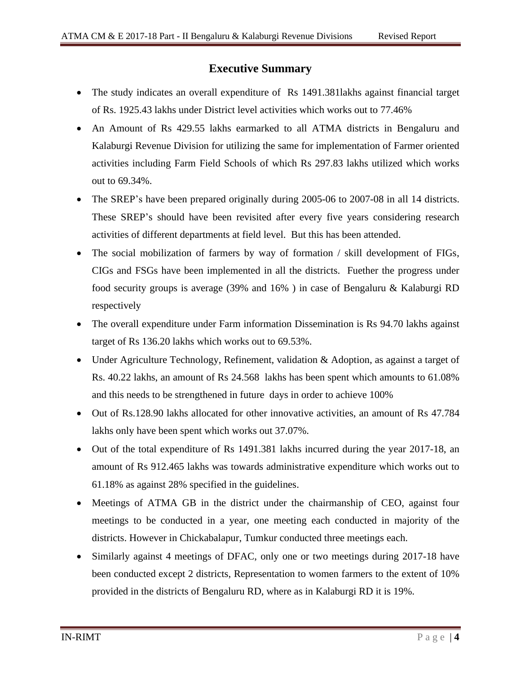## **Executive Summary**

- The study indicates an overall expenditure of Rs 1491.381 lakhs against financial target of Rs. 1925.43 lakhs under District level activities which works out to 77.46%
- An Amount of Rs 429.55 lakhs earmarked to all ATMA districts in Bengaluru and Kalaburgi Revenue Division for utilizing the same for implementation of Farmer oriented activities including Farm Field Schools of which Rs 297.83 lakhs utilized which works out to 69.34%.
- The SREP's have been prepared originally during 2005-06 to 2007-08 in all 14 districts. These SREP's should have been revisited after every five years considering research activities of different departments at field level. But this has been attended.
- The social mobilization of farmers by way of formation / skill development of FIGs, CIGs and FSGs have been implemented in all the districts. Fuether the progress under food security groups is average (39% and 16% ) in case of Bengaluru & Kalaburgi RD respectively
- The overall expenditure under Farm information Dissemination is Rs 94.70 lakhs against target of Rs 136.20 lakhs which works out to 69.53%.
- Under Agriculture Technology, Refinement, validation & Adoption, as against a target of Rs. 40.22 lakhs, an amount of Rs 24.568 lakhs has been spent which amounts to 61.08% and this needs to be strengthened in future days in order to achieve 100%
- Out of Rs.128.90 lakhs allocated for other innovative activities, an amount of Rs 47.784 lakhs only have been spent which works out 37.07%.
- Out of the total expenditure of Rs 1491.381 lakhs incurred during the year 2017-18, an amount of Rs 912.465 lakhs was towards administrative expenditure which works out to 61.18% as against 28% specified in the guidelines.
- Meetings of ATMA GB in the district under the chairmanship of CEO, against four meetings to be conducted in a year, one meeting each conducted in majority of the districts. However in Chickabalapur, Tumkur conducted three meetings each.
- Similarly against 4 meetings of DFAC, only one or two meetings during 2017-18 have been conducted except 2 districts, Representation to women farmers to the extent of 10% provided in the districts of Bengaluru RD, where as in Kalaburgi RD it is 19%.